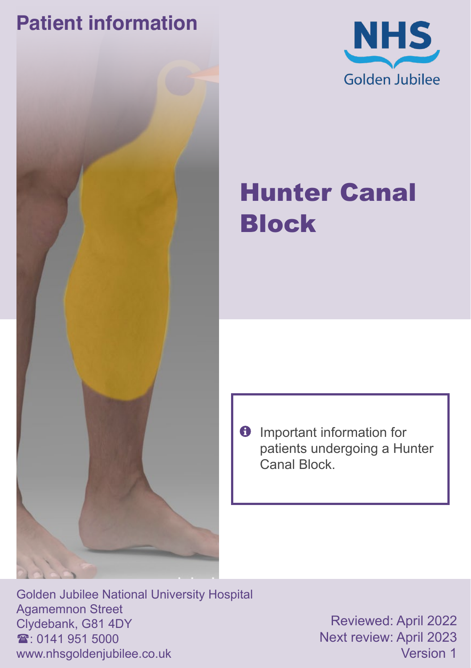# **Patient information**





# Hunter Canal Block

 $\theta$  Important information for patients undergoing a Hunter Canal Block.

Golden Jubilee National University Hospital Agamemnon Street Clydebank, G81 4DY  $\mathbf{\hat{x}}$  0141 951 5000 www.nhsgoldenjubilee.co.uk

Reviewed: April 2022 Next review: April 2023 Version 1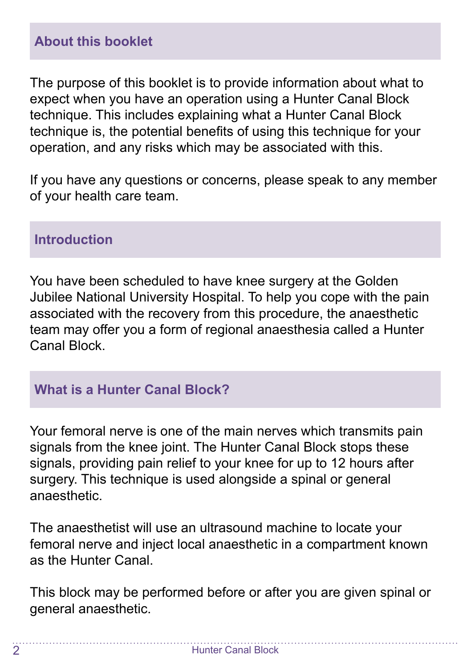The purpose of this booklet is to provide information about what to expect when you have an operation using a Hunter Canal Block technique. This includes explaining what a Hunter Canal Block technique is, the potential benefits of using this technique for your operation, and any risks which may be associated with this.

If you have any questions or concerns, please speak to any member of your health care team.

#### **Introduction**

You have been scheduled to have knee surgery at the Golden Jubilee National University Hospital. To help you cope with the pain associated with the recovery from this procedure, the anaesthetic team may offer you a form of regional anaesthesia called a Hunter Canal Block.

#### **What is a Hunter Canal Block?**

Your femoral nerve is one of the main nerves which transmits pain signals from the knee joint. The Hunter Canal Block stops these signals, providing pain relief to your knee for up to 12 hours after surgery. This technique is used alongside a spinal or general anaesthetic.

The anaesthetist will use an ultrasound machine to locate your femoral nerve and inject local anaesthetic in a compartment known as the Hunter Canal.

This block may be performed before or after you are given spinal or general anaesthetic.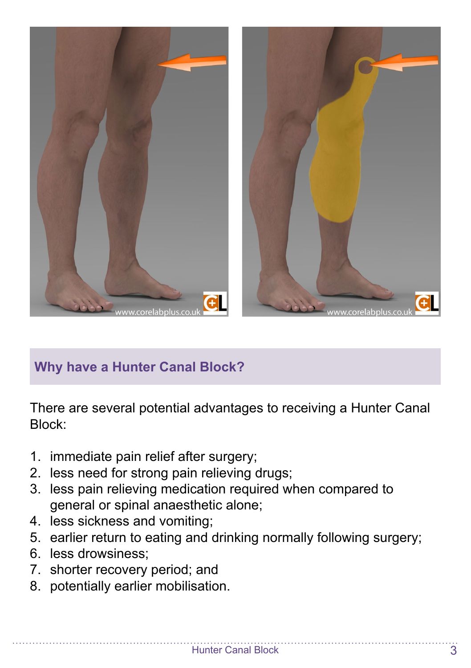

## **Why have a Hunter Canal Block?**

There are several potential advantages to receiving a Hunter Canal Block:

- 1. immediate pain relief after surgery;
- 2. less need for strong pain relieving drugs;
- 3. less pain relieving medication required when compared to general or spinal anaesthetic alone;
- 4. less sickness and vomiting;
- 5. earlier return to eating and drinking normally following surgery;
- 6. less drowsiness;
- 7. shorter recovery period; and
- 8. potentially earlier mobilisation.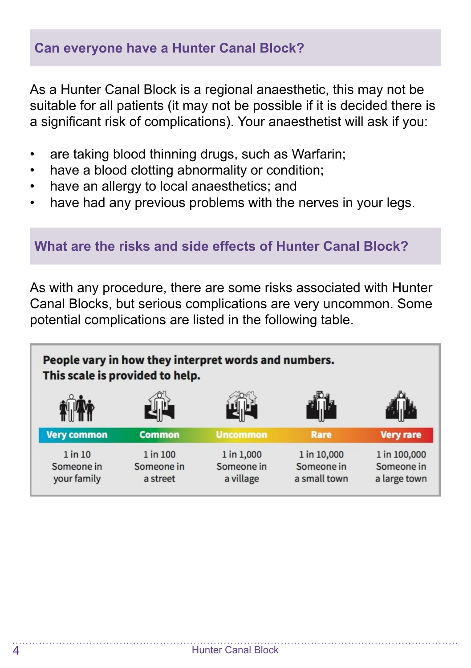#### **Can everyone have a Hunter Canal Block?**

As a Hunter Canal Block is a regional anaesthetic, this may not be suitable for all patients (it may not be possible if it is decided there is a significant risk of complications). Your anaesthetist will ask if you:

- are taking blood thinning drugs, such as Warfarin;
- have a blood clotting abnormality or condition;
- have an allergy to local anaesthetics; and
- have had any previous problems with the nerves in your legs.

#### **What are the risks and side effects of Hunter Canal Block?**

As with any procedure, there are some risks associated with Hunter Canal Blocks, but serious complications are very uncommon. Some potential complications are listed in the following table.

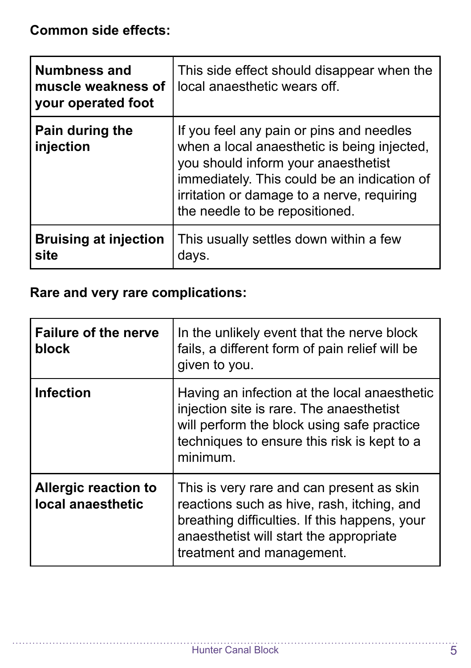**Common side effects:**

| <b>Numbness and</b><br>muscle weakness of<br>your operated foot | This side effect should disappear when the<br>local anaesthetic wears off.                                                                                                                                                                                    |
|-----------------------------------------------------------------|---------------------------------------------------------------------------------------------------------------------------------------------------------------------------------------------------------------------------------------------------------------|
| Pain during the<br>injection                                    | If you feel any pain or pins and needles<br>when a local anaesthetic is being injected,<br>you should inform your anaesthetist<br>immediately. This could be an indication of<br>irritation or damage to a nerve, requiring<br>the needle to be repositioned. |
| <b>Bruising at injection</b><br>site                            | This usually settles down within a few<br>days.                                                                                                                                                                                                               |

### **Rare and very rare complications:**

| <b>Failure of the nerve</b><br>block             | In the unlikely event that the nerve block<br>fails, a different form of pain relief will be<br>given to you.                                                                                                    |
|--------------------------------------------------|------------------------------------------------------------------------------------------------------------------------------------------------------------------------------------------------------------------|
| <b>Infection</b>                                 | Having an infection at the local anaesthetic<br>injection site is rare. The anaesthetist<br>will perform the block using safe practice<br>techniques to ensure this risk is kept to a<br>minimum.                |
| <b>Allergic reaction to</b><br>local anaesthetic | This is very rare and can present as skin<br>reactions such as hive, rash, itching, and<br>breathing difficulties. If this happens, your<br>anaesthetist will start the appropriate<br>treatment and management. |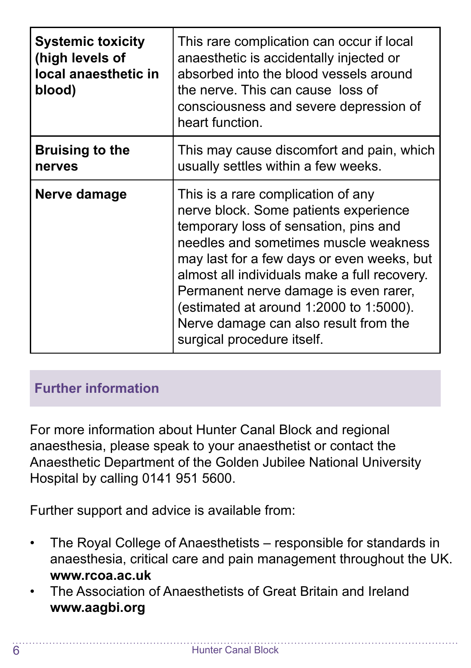| <b>Systemic toxicity</b><br>(high levels of<br>local anaesthetic in<br>blood) | This rare complication can occur if local<br>anaesthetic is accidentally injected or<br>absorbed into the blood vessels around<br>the nerve. This can cause loss of<br>consciousness and severe depression of<br>heart function.                                                                                                                                                                                       |
|-------------------------------------------------------------------------------|------------------------------------------------------------------------------------------------------------------------------------------------------------------------------------------------------------------------------------------------------------------------------------------------------------------------------------------------------------------------------------------------------------------------|
| Bruising to the<br>nerves                                                     | This may cause discomfort and pain, which<br>usually settles within a few weeks.                                                                                                                                                                                                                                                                                                                                       |
| Nerve damage                                                                  | This is a rare complication of any<br>nerve block. Some patients experience<br>temporary loss of sensation, pins and<br>needles and sometimes muscle weakness<br>may last for a few days or even weeks, but<br>almost all individuals make a full recovery.<br>Permanent nerve damage is even rarer,<br>(estimated at around 1:2000 to 1:5000).<br>Nerve damage can also result from the<br>surgical procedure itself. |

### **Further information**

For more information about Hunter Canal Block and regional anaesthesia, please speak to your anaesthetist or contact the Anaesthetic Department of the Golden Jubilee National University Hospital by calling 0141 951 5600.

Further support and advice is available from:

- The Royal College of Anaesthetists responsible for standards in anaesthesia, critical care and pain management throughout the UK. **www.rcoa.ac.uk**
- The Association of Anaesthetists of Great Britain and Ireland **www.aagbi.org**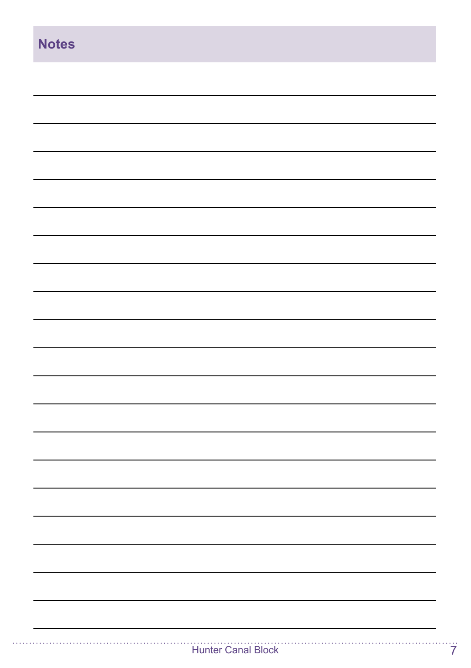| <b>Notes</b> |  |
|--------------|--|
|              |  |
|              |  |
|              |  |
|              |  |
|              |  |
|              |  |
|              |  |
|              |  |
|              |  |
|              |  |
|              |  |
|              |  |
|              |  |
|              |  |
|              |  |
|              |  |
|              |  |